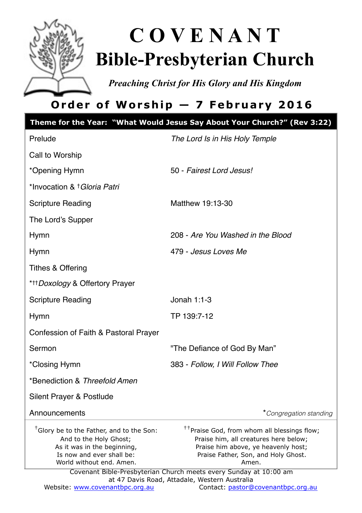

# **C O V E N A N T Bible-Presbyterian Church**

*Preaching Christ for His Glory and His Kingdom* 

# **Order of Worship — 7 February 2016**

|                                                                                                                                                                        | Theme for the Year: "What Would Jesus Say About Your Church?" (Rev 3:22)                                                                                                                                                                                                                                      |
|------------------------------------------------------------------------------------------------------------------------------------------------------------------------|---------------------------------------------------------------------------------------------------------------------------------------------------------------------------------------------------------------------------------------------------------------------------------------------------------------|
| Prelude                                                                                                                                                                | The Lord Is in His Holy Temple                                                                                                                                                                                                                                                                                |
| Call to Worship                                                                                                                                                        |                                                                                                                                                                                                                                                                                                               |
| *Opening Hymn                                                                                                                                                          | 50 - Fairest Lord Jesus!                                                                                                                                                                                                                                                                                      |
| *Invocation & † Gloria Patri                                                                                                                                           |                                                                                                                                                                                                                                                                                                               |
| Scripture Reading                                                                                                                                                      | Matthew 19:13-30                                                                                                                                                                                                                                                                                              |
| The Lord's Supper                                                                                                                                                      |                                                                                                                                                                                                                                                                                                               |
| Hymn                                                                                                                                                                   | 208 - Are You Washed in the Blood                                                                                                                                                                                                                                                                             |
| Hymn                                                                                                                                                                   | 479 - Jesus Loves Me                                                                                                                                                                                                                                                                                          |
| Tithes & Offering                                                                                                                                                      |                                                                                                                                                                                                                                                                                                               |
| * <sup>+++</sup> Doxology & Offertory Prayer                                                                                                                           |                                                                                                                                                                                                                                                                                                               |
| <b>Scripture Reading</b>                                                                                                                                               | Jonah $1:1-3$                                                                                                                                                                                                                                                                                                 |
| Hymn                                                                                                                                                                   | TP 139:7-12                                                                                                                                                                                                                                                                                                   |
| Confession of Faith & Pastoral Prayer                                                                                                                                  |                                                                                                                                                                                                                                                                                                               |
| Sermon                                                                                                                                                                 | "The Defiance of God By Man"                                                                                                                                                                                                                                                                                  |
| *Closing Hymn                                                                                                                                                          | 383 - Follow, I Will Follow Thee                                                                                                                                                                                                                                                                              |
| *Benediction & Threefold Amen                                                                                                                                          |                                                                                                                                                                                                                                                                                                               |
| Silent Prayer & Postlude                                                                                                                                               |                                                                                                                                                                                                                                                                                                               |
| Announcements                                                                                                                                                          | *Congregation standing                                                                                                                                                                                                                                                                                        |
| <sup>†</sup> Glory be to the Father, and to the Son:<br>And to the Holy Ghost;<br>As it was in the beginning,<br>Is now and ever shall be:<br>World without end. Amen. | <sup>††</sup> Praise God, from whom all blessings flow;<br>Praise him, all creatures here below;<br>Praise him above, ye heavenly host;<br>Praise Father, Son, and Holy Ghost.<br>Amen.<br>Covenant Bible-Presbyterian Church meets every Sunday at 10:00 am<br>at 47 Davis Road, Attadale, Western Australia |
| Website: www.covenantbpc.org.au                                                                                                                                        | Contact: pastor@covenantbpc.org.au                                                                                                                                                                                                                                                                            |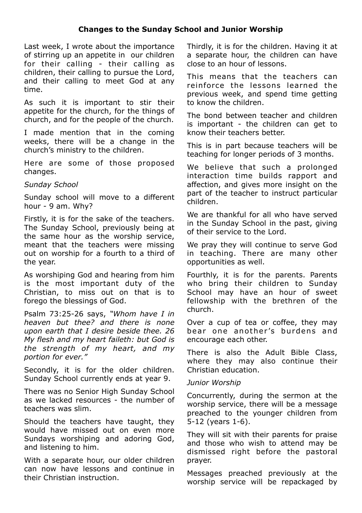#### **Changes to the Sunday School and Junior Worship**

Last week, I wrote about the importance of stirring up an appetite in our children for their calling - their calling as children, their calling to pursue the Lord, and their calling to meet God at any time.

As such it is important to stir their appetite for the church, for the things of church, and for the people of the church.

I made mention that in the coming weeks, there will be a change in the church's ministry to the children.

Here are some of those proposed changes.

*Sunday School* 

Sunday school will move to a different hour - 9 am. Why?

Firstly, it is for the sake of the teachers. The Sunday School, previously being at the same hour as the worship service, meant that the teachers were missing out on worship for a fourth to a third of the year.

As worshiping God and hearing from him is the most important duty of the Christian, to miss out on that is to forego the blessings of God.

Psalm 73:25-26 says, *"Whom have I in heaven but thee? and there is none upon earth that I desire beside thee. 26 My flesh and my heart faileth: but God is the strength of my heart, and my portion for ever."*

Secondly, it is for the older children. Sunday School currently ends at year 9.

There was no Senior High Sunday School as we lacked resources - the number of teachers was slim.

Should the teachers have taught, they would have missed out on even more Sundays worshiping and adoring God, and listening to him.

With a separate hour, our older children can now have lessons and continue in their Christian instruction.

Thirdly, it is for the children. Having it at a separate hour, the children can have close to an hour of lessons.

This means that the teachers can reinforce the lessons learned the previous week, and spend time getting to know the children.

The bond between teacher and children is important - the children can get to know their teachers better.

This is in part because teachers will be teaching for longer periods of 3 months.

We believe that such a prolonged interaction time builds rapport and affection, and gives more insight on the part of the teacher to instruct particular children.

We are thankful for all who have served in the Sunday School in the past, giving of their service to the Lord.

We pray they will continue to serve God in teaching. There are many other opportunities as well.

Fourthly, it is for the parents. Parents who bring their children to Sunday School may have an hour of sweet fellowship with the brethren of the church.

Over a cup of tea or coffee, they may bear one another's burdens and encourage each other.

There is also the Adult Bible Class, where they may also continue their Christian education.

#### *Junior Worship*

Concurrently, during the sermon at the worship service, there will be a message preached to the younger children from 5-12 (years 1-6).

They will sit with their parents for praise and those who wish to attend may be dismissed right before the pastoral prayer.

Messages preached previously at the worship service will be repackaged by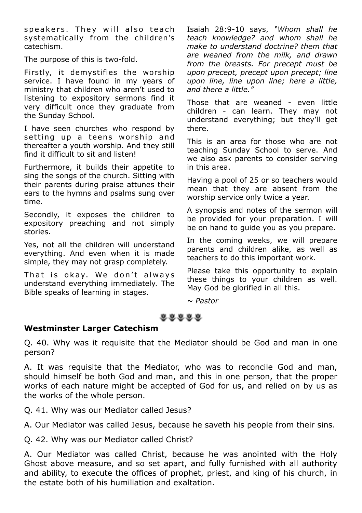speakers. They will also teach systematically from the children's catechism.

The purpose of this is two-fold.

Firstly, it demystifies the worship service. I have found in my years of ministry that children who aren't used to listening to expository sermons find it very difficult once they graduate from the Sunday School.

I have seen churches who respond by setting up a teens worship and thereafter a youth worship. And they still find it difficult to sit and listen!

Furthermore, it builds their appetite to sing the songs of the church. Sitting with their parents during praise attunes their ears to the hymns and psalms sung over time.

Secondly, it exposes the children to expository preaching and not simply stories.

Yes, not all the children will understand everything. And even when it is made simple, they may not grasp completely.

That is okay. We don't always understand everything immediately. The Bible speaks of learning in stages.

Isaiah 28:9-10 says, *"Whom shall he teach knowledge? and whom shall he make to understand doctrine? them that are weaned from the milk, and drawn from the breasts. For precept must be upon precept, precept upon precept; line upon line, line upon line; here a little, and there a little."*

Those that are weaned - even little children - can learn. They may not understand everything; but they'll get there.

This is an area for those who are not teaching Sunday School to serve. And we also ask parents to consider serving in this area.

Having a pool of 25 or so teachers would mean that they are absent from the worship service only twice a year.

A synopsis and notes of the sermon will be provided for your preparation. I will be on hand to guide you as you prepare.

In the coming weeks, we will prepare parents and children alike, as well as teachers to do this important work.

Please take this opportunity to explain these things to your children as well. May God be glorified in all this.

*~ Pastor*

#### $0.0.0.0.0$

#### **Westminster Larger Catechism**

Q. 40. Why was it requisite that the Mediator should be God and man in one person?

A. It was requisite that the Mediator, who was to reconcile God and man, should himself be both God and man, and this in one person, that the proper works of each nature might be accepted of God for us, and relied on by us as the works of the whole person.

Q. 41. Why was our Mediator called Jesus?

A. Our Mediator was called Jesus, because he saveth his people from their sins.

Q. 42. Why was our Mediator called Christ?

A. Our Mediator was called Christ, because he was anointed with the Holy Ghost above measure, and so set apart, and fully furnished with all authority and ability, to execute the offices of prophet, priest, and king of his church, in the estate both of his humiliation and exaltation.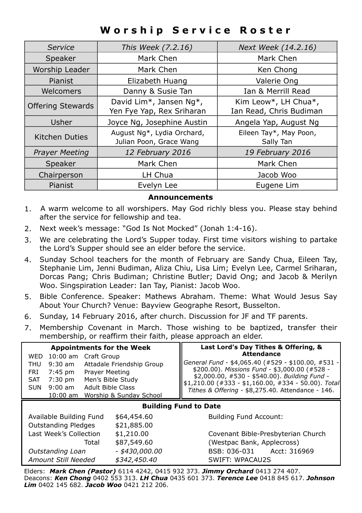### **Worship Service Roster**

| Service                  | This Week (7.2.16)                                    | Next Week (14.2.16)                             |
|--------------------------|-------------------------------------------------------|-------------------------------------------------|
| Speaker                  | Mark Chen                                             | Mark Chen                                       |
| Worship Leader           | Mark Chen                                             | Ken Chong                                       |
| Pianist                  | Elizabeth Huang                                       | Valerie Ong                                     |
| Welcomers                | Danny & Susie Tan                                     | Ian & Merrill Read                              |
| <b>Offering Stewards</b> | David Lim*, Jansen Ng*,<br>Yen Fye Yap, Rex Sriharan  | Kim Leow*, LH Chua*,<br>Ian Read, Chris Budiman |
| Usher                    | Joyce Ng, Josephine Austin                            | Angela Yap, August Ng                           |
| Kitchen Duties           | August Ng*, Lydia Orchard,<br>Julian Poon, Grace Wang | Eileen Tay*, May Poon,<br>Sally Tan             |
| <b>Prayer Meeting</b>    | 12 February 2016                                      | 19 February 2016                                |
| Speaker                  | Mark Chen                                             | Mark Chen                                       |
| Chairperson              | LH Chua                                               | Jacob Woo                                       |
| Pianist                  | Evelyn Lee                                            | Eugene Lim                                      |

#### **Announcements**

- 1. A warm welcome to all worshipers. May God richly bless you. Please stay behind after the service for fellowship and tea.
- 2. Next week's message: "God Is Not Mocked" (Jonah 1:4-16).
- 3. We are celebrating the Lord's Supper today. First time visitors wishing to partake the Lord's Supper should see an elder before the service.
- 4. Sunday School teachers for the month of February are Sandy Chua, Eileen Tay, Stephanie Lim, Jenni Budiman, Aliza Chiu, Lisa Lim; Evelyn Lee, Carmel Sriharan, Dorcas Pang; Chris Budiman; Christine Butler; David Ong; and Jacob & Merilyn Woo. Singspiration Leader: Ian Tay, Pianist: Jacob Woo.
- 5. Bible Conference. Speaker: Mathews Abraham. Theme: What Would Jesus Say About Your Church? Venue: Bayview Geographe Resort, Busselton.
- 6. Sunday, 14 February 2016, after church. Discussion for JF and TF parents.
- 7. Membership Covenant in March. Those wishing to be baptized, transfer their membership, or reaffirm their faith, please approach an elder.

| <b>Appointments for the Week</b>              |                           | Last Lord's Day Tithes & Offering, &<br><b>Attendance</b>                                           |  |
|-----------------------------------------------|---------------------------|-----------------------------------------------------------------------------------------------------|--|
| 10:00 am Craft Group<br><b>WED</b>            |                           |                                                                                                     |  |
| $9:30$ am<br>THU                              | Attadale Friendship Group | General Fund - \$4,065.40 (#529 - \$100.00, #531 -<br>\$200.00). Missions Fund - \$3,000.00 (#528 - |  |
| Prayer Meeting<br>7:45 pm<br>FRI              |                           | \$2,000.00, #530 - \$540.00). Building Fund -                                                       |  |
| 7:30 pm<br><b>SAT</b>                         | Men's Bible Study         | $$1,210.00$ (#333 - \$1,160.00, #334 - 50.00). Total                                                |  |
| Adult Bible Class<br>$9:00 \text{ am}$<br>SUN |                           | Tithes & Offering - \$8,275.40. Attendance - 146.                                                   |  |
| 10:00 am Worship & Sunday School              |                           |                                                                                                     |  |
| <b>Building Fund to Date</b>                  |                           |                                                                                                     |  |
| Available Building Fund                       | \$64,454.60               | <b>Building Fund Account:</b>                                                                       |  |
| <b>Outstanding Pledges</b>                    | \$21,885.00               |                                                                                                     |  |
| Last Week's Collection                        | \$1,210.00                | Covenant Bible-Presbyterian Church                                                                  |  |
| Total                                         | \$87,549.60               | (Westpac Bank, Applecross)                                                                          |  |
| Outstanding Loan                              | - \$430,000.00            | BSB: 036-031<br>Acct: 316969                                                                        |  |
| Amount Still Needed                           | \$342,450,40              | SWIFT: WPACAU2S                                                                                     |  |

Elders: *Mark Chen (Pastor)* 6114 4242, 0415 932 373. *Jimmy Orchard* 0413 274 407. Deacons: *Ken Chong* 0402 553 313. *LH Chua* 0435 601 373. *Terence Lee* 0418 845 617. *Johnson Lim* 0402 145 682. *Jacob Woo* 0421 212 206.